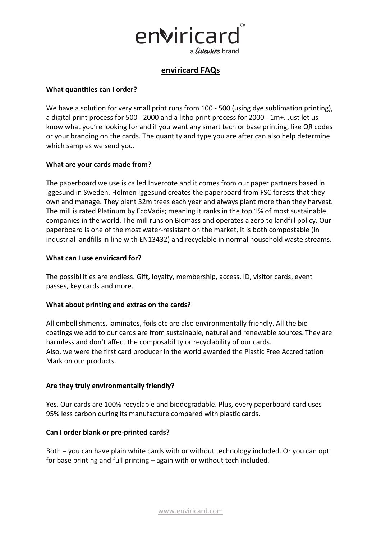

# **enviricard FAQs**

#### **What quantities can I order?**

We have a solution for very small print runs from 100 - 500 (using dye sublimation printing), a digital print process for 500 - 2000 and a litho print process for 2000 - 1m+. Just let us know what you're looking for and if you want any smart tech or base printing, like QR codes or your branding on the cards. The quantity and type you are after can also help determine which samples we send you.

## **What are your cards made from?**

The paperboard we use is called Invercote and it comes from our paper partners based in Iggesund in Sweden. Holmen Iggesund creates the paperboard from FSC forests that they own and manage. They plant 32m trees each year and always plant more than they harvest. The mill is rated Platinum by EcoVadis; meaning it ranks in the top 1% of most sustainable companies in the world. The mill runs on Biomass and operates a zero to landfill policy. Our paperboard is one of the most water-resistant on the market, it is both compostable (in industrial landfills in line with EN13432) and recyclable in normal household waste streams.

#### **What can I use enviricard for?**

The possibilities are endless. Gift, loyalty, membership, access, ID, visitor cards, event passes, key cards and more.

#### **What about printing and extras on the cards?**

All embellishments, laminates, foils etc are also environmentally friendly. All the bio coatings we add to our cards are from sustainable, natural and renewable sources. They are harmless and don't affect the composability or recyclability of our cards. Also, we were the first card producer in the world awarded the Plastic Free Accreditation Mark on our products.

#### **Are they truly environmentally friendly?**

Yes. Our cards are 100% recyclable and biodegradable. Plus, every paperboard card uses 95% less carbon during its manufacture compared with plastic cards.

#### **Can I order blank or pre-printed cards?**

Both – you can have plain white cards with or without technology included. Or you can opt for base printing and full printing – again with or without tech included.